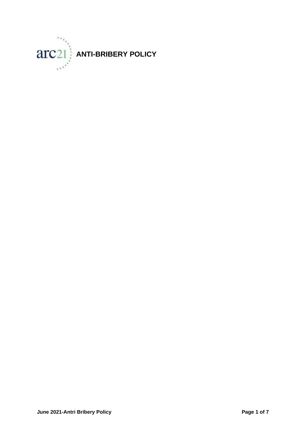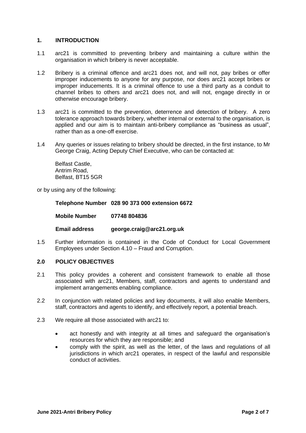### **1. INTRODUCTION**

- 1.1 arc21 is committed to preventing bribery and maintaining a culture within the organisation in which bribery is never acceptable.
- 1.2 Bribery is a criminal offence and arc21 does not, and will not, pay bribes or offer improper inducements to anyone for any purpose, nor does arc21 accept bribes or improper inducements. It is a criminal offence to use a third party as a conduit to channel bribes to others and arc21 does not, and will not, engage directly in or otherwise encourage bribery.
- 1.3 arc21 is committed to the prevention, deterrence and detection of bribery. A zero tolerance approach towards bribery, whether internal or external to the organisation, is applied and our aim is to maintain anti-bribery compliance as "business as usual", rather than as a one-off exercise.
- 1.4 Any queries or issues relating to bribery should be directed, in the first instance, to Mr George Craig, Acting Deputy Chief Executive, who can be contacted at:

Belfast Castle, Antrim Road, Belfast, BT15 5GR

or by using any of the following:

**Telephone Number 028 90 373 000 extension 6672** 

**Mobile Number 07748 804836**

**Email address [george.craig@arc21.org.uk](mailto:george.craig@arc21.org.uk)**

1.5 Further information is contained in the Code of Conduct for Local Government Employees under Section 4.10 – Fraud and Corruption.

#### **2.0 POLICY OBJECTIVES**

- 2.1 This policy provides a coherent and consistent framework to enable all those associated with arc21, Members, staff, contractors and agents to understand and implement arrangements enabling compliance.
- 2.2 In conjunction with related policies and key documents, it will also enable Members, staff, contractors and agents to identify, and effectively report, a potential breach.
- 2.3 We require all those associated with arc21 to:
	- act honestly and with integrity at all times and safeguard the organisation's resources for which they are responsible; and
	- comply with the spirit, as well as the letter, of the laws and regulations of all jurisdictions in which arc21 operates, in respect of the lawful and responsible conduct of activities.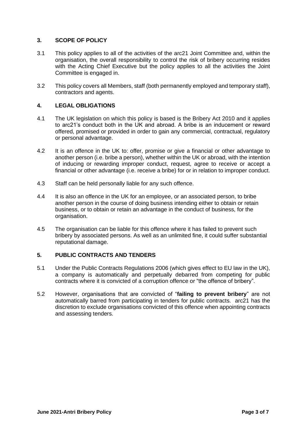## **3. SCOPE OF POLICY**

- 3.1 This policy applies to all of the activities of the arc21 Joint Committee and, within the organisation, the overall responsibility to control the risk of bribery occurring resides with the Acting Chief Executive but the policy applies to all the activities the Joint Committee is engaged in.
- 3.2 This policy covers all Members, staff (both permanently employed and temporary staff), contractors and agents.

# **4. LEGAL OBLIGATIONS**

- 4.1 The UK legislation on which this policy is based is the Bribery Act 2010 and it applies to arc21's conduct both in the UK and abroad. A bribe is an inducement or reward offered, promised or provided in order to gain any commercial, contractual, regulatory or personal advantage.
- 4.2 It is an offence in the UK to: offer, promise or give a financial or other advantage to another person (i.e. bribe a person), whether within the UK or abroad, with the intention of inducing or rewarding improper conduct, request, agree to receive or accept a financial or other advantage (i.e. receive a bribe) for or in relation to improper conduct.
- 4.3 Staff can be held personally liable for any such offence.
- 4.4 It is also an offence in the UK for an employee, or an associated person, to bribe another person in the course of doing business intending either to obtain or retain business, or to obtain or retain an advantage in the conduct of business, for the organisation.
- 4.5 The organisation can be liable for this offence where it has failed to prevent such bribery by associated persons. As well as an unlimited fine, it could suffer substantial reputational damage.

## **5. PUBLIC CONTRACTS AND TENDERS**

- 5.1 Under the Public Contracts Regulations 2006 (which gives effect to EU law in the UK), a company is automatically and perpetually debarred from competing for public contracts where it is convicted of a corruption offence or "the offence of bribery".
- 5.2 However, organisations that are convicted of "**failing to prevent bribery**" are not automatically barred from participating in tenders for public contracts. arc21 has the discretion to exclude organisations convicted of this offence when appointing contracts and assessing tenders.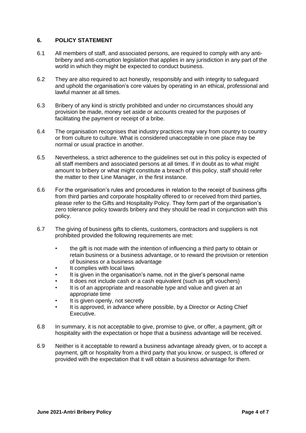### **6. POLICY STATEMENT**

- 6.1 All members of staff, and associated persons, are required to comply with any antibribery and anti-corruption legislation that applies in any jurisdiction in any part of the world in which they might be expected to conduct business.
- 6.2 They are also required to act honestly, responsibly and with integrity to safeguard and uphold the organisation's core values by operating in an ethical, professional and lawful manner at all times.
- 6.3 Bribery of any kind is strictly prohibited and under no circumstances should any provision be made, money set aside or accounts created for the purposes of facilitating the payment or receipt of a bribe.
- 6.4 The organisation recognises that industry practices may vary from country to country or from culture to culture. What is considered unacceptable in one place may be normal or usual practice in another.
- 6.5 Nevertheless, a strict adherence to the guidelines set out in this policy is expected of all staff members and associated persons at all times. If in doubt as to what might amount to bribery or what might constitute a breach of this policy, staff should refer the matter to their Line Manager, in the first instance.
- 6.6 For the organisation's rules and procedures in relation to the receipt of business gifts from third parties and corporate hospitality offered to or received from third parties, please refer to the Gifts and Hospitality Policy. They form part of the organisation's zero tolerance policy towards bribery and they should be read in conjunction with this policy.
- 6.7 The giving of business gifts to clients, customers, contractors and suppliers is not prohibited provided the following requirements are met:
	- the gift is not made with the intention of influencing a third party to obtain or retain business or a business advantage, or to reward the provision or retention of business or a business advantage
	- It complies with local laws
	- It is given in the organisation's name, not in the giver's personal name
	- It does not include cash or a cash equivalent (such as gift vouchers)
	- It is of an appropriate and reasonable type and value and given at an appropriate time
	- It is given openly, not secretly
	- It is approved, in advance where possible, by a Director or Acting Chief Executive.
- 6.8 In summary, it is not acceptable to give, promise to give, or offer, a payment, gift or hospitality with the expectation or hope that a business advantage will be received.
- 6.9 Neither is it acceptable to reward a business advantage already given, or to accept a payment, gift or hospitality from a third party that you know, or suspect, is offered or provided with the expectation that it will obtain a business advantage for them.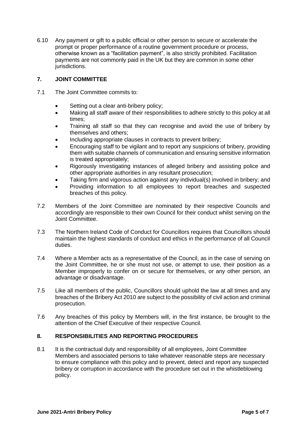6.10 Any payment or gift to a public official or other person to secure or accelerate the prompt or proper performance of a routine government procedure or process, otherwise known as a "facilitation payment", is also strictly prohibited. Facilitation payments are not commonly paid in the UK but they are common in some other jurisdictions.

## **7. JOINT COMMITTEE**

- 7.1 The Joint Committee commits to:
	- Setting out a clear anti-bribery policy;
	- Making all staff aware of their responsibilities to adhere strictly to this policy at all times;
	- Training all staff so that they can recognise and avoid the use of bribery by themselves and others;
	- Including appropriate clauses in contracts to prevent bribery;
	- Encouraging staff to be vigilant and to report any suspicions of bribery, providing them with suitable channels of communication and ensuring sensitive information is treated appropriately;
	- Rigorously investigating instances of alleged bribery and assisting police and other appropriate authorities in any resultant prosecution;
	- Taking firm and vigorous action against any individual(s) involved in bribery; and
	- Providing information to all employees to report breaches and suspected breaches of this policy.
- 7.2 Members of the Joint Committee are nominated by their respective Councils and accordingly are responsible to their own Council for their conduct whilst serving on the Joint Committee.
- 7.3 The Northern Ireland Code of Conduct for Councillors requires that Councillors should maintain the highest standards of conduct and ethics in the performance of all Council duties.
- 7.4 Where a Member acts as a representative of the Council, as in the case of serving on the Joint Committee, he or she must not use, or attempt to use, their position as a Member improperly to confer on or secure for themselves, or any other person, an advantage or disadvantage.
- 7.5 Like all members of the public, Councillors should uphold the law at all times and any breaches of the Bribery Act 2010 are subject to the possibility of civil action and criminal prosecution.
- 7.6 Any breaches of this policy by Members will, in the first instance, be brought to the attention of the Chief Executive of their respective Council.

# **8. RESPONSIBILITIES AND REPORTING PROCEDURES**

8.1 It is the contractual duty and responsibility of all employees, Joint Committee Members and associated persons to take whatever reasonable steps are necessary to ensure compliance with this policy and to prevent, detect and report any suspected bribery or corruption in accordance with the procedure set out in the whistleblowing policy.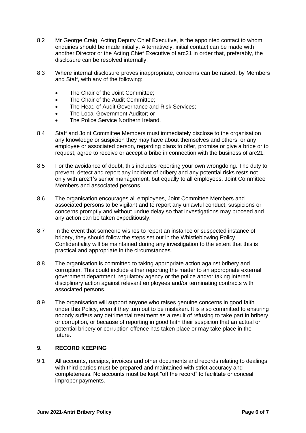- 8.2 Mr George Craig, Acting Deputy Chief Executive, is the appointed contact to whom enquiries should be made initially. Alternatively, initial contact can be made with another Director or the Acting Chief Executive of arc21 in order that, preferably, the disclosure can be resolved internally.
- 8.3 Where internal disclosure proves inappropriate, concerns can be raised, by Members and Staff, with any of the following:
	- The Chair of the Joint Committee;
	- The Chair of the Audit Committee;
	- The Head of Audit Governance and Risk Services:
	- The Local Government Auditor; or
	- The Police Service Northern Ireland.
- 8.4 Staff and Joint Committee Members must immediately disclose to the organisation any knowledge or suspicion they may have about themselves and others, or any employee or associated person, regarding plans to offer, promise or give a bribe or to request, agree to receive or accept a bribe in connection with the business of arc21.
- 8.5 For the avoidance of doubt, this includes reporting your own wrongdoing. The duty to prevent, detect and report any incident of bribery and any potential risks rests not only with arc21's senior management, but equally to all employees, Joint Committee Members and associated persons.
- 8.6 The organisation encourages all employees, Joint Committee Members and associated persons to be vigilant and to report any unlawful conduct, suspicions or concerns promptly and without undue delay so that investigations may proceed and any action can be taken expeditiously.
- 8.7 In the event that someone wishes to report an instance or suspected instance of bribery, they should follow the steps set out in the Whistleblowing Policy. Confidentiality will be maintained during any investigation to the extent that this is practical and appropriate in the circumstances.
- 8.8 The organisation is committed to taking appropriate action against bribery and corruption. This could include either reporting the matter to an appropriate external government department, regulatory agency or the police and/or taking internal disciplinary action against relevant employees and/or terminating contracts with associated persons.
- 8.9 The organisation will support anyone who raises genuine concerns in good faith under this Policy, even if they turn out to be mistaken. It is also committed to ensuring nobody suffers any detrimental treatment as a result of refusing to take part in bribery or corruption, or because of reporting in good faith their suspicion that an actual or potential bribery or corruption offence has taken place or may take place in the future.

## **9. RECORD KEEPING**

9.1 All accounts, receipts, invoices and other documents and records relating to dealings with third parties must be prepared and maintained with strict accuracy and completeness. No accounts must be kept "off the record" to facilitate or conceal improper payments.